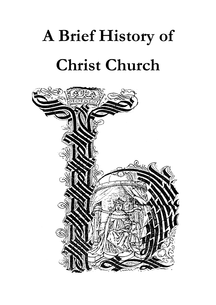# **A Brief History of Christ Church**

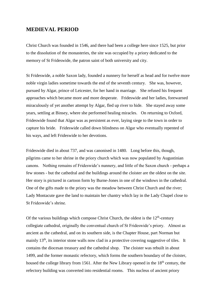### **MEDIEVAL PERIOD**

Christ Church was founded in 1546, and there had been a college here since 1525, but prior to the dissolution of the monasteries, the site was occupied by a priory dedicated to the memory of St Frideswide, the patron saint of both university and city.

St Frideswide, a noble Saxon lady, founded a nunnery for herself as head and for twelve more noble virgin ladies sometime towards the end of the seventh century. She was, however, pursued by Algar, prince of Leicester, for her hand in marriage. She refused his frequent approaches which became more and more desperate. Frideswide and her ladies, forewarned miraculously of yet another attempt by Algar, fled up river to hide. She stayed away some years, settling at Binsey, where she performed healing miracles. On returning to Oxford, Frideswide found that Algar was as persistent as ever, laying siege to the town in order to capture his bride. Frideswide called down blindness on Algar who eventually repented of his ways, and left Frideswide to her devotions.

Frideswide died in about 737, and was canonised in 1480. Long before this, though, pilgrims came to her shrine in the priory church which was now populated by Augustinian canons. Nothing remains of Frideswide's nunnery, and little of the Saxon church - perhaps a few stones - but the cathedral and the buildings around the cloister are the oldest on the site. Her story is pictured in cartoon form by Burne-Jones in one of the windows in the cathedral. One of the gifts made to the priory was the meadow between Christ Church and the river; Lady Montacute gave the land to maintain her chantry which lay in the Lady Chapel close to St Frideswide's shrine.

Of the various buildings which compose Christ Church, the oldest is the  $12<sup>th</sup>$ -century collegiate cathedral, originally the conventual church of St Frideswide's priory. Almost as ancient as the cathedral, and on its southern side, is the Chapter House, part Norman but mainly 13<sup>th</sup>, its interior stone walls now clad in a protective covering suggestive of tiles. It contains the diocesan treasury and the cathedral shop. The cloister was rebuilt in about 1499, and the former monastic refectory, which forms the southern boundary of the cloister, housed the college library from 1561. After the New Library opened in the 18<sup>th</sup> century, the refectory building was converted into residential rooms. This nucleus of ancient priory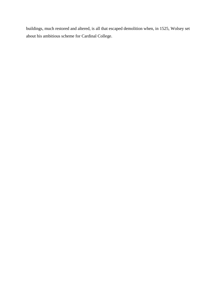buildings, much restored and altered, is all that escaped demolition when, in 1525, Wolsey set about his ambitious scheme for Cardinal College.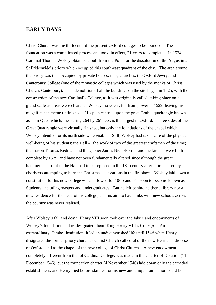#### **EARLY DAYS**

Christ Church was the thirteenth of the present Oxford colleges to be founded. The foundation was a complicated process and took, in effect, 21 years to complete. In 1524, Cardinal Thomas Wolsey obtained a bull from the Pope for the dissolution of the Augustinian St Frideswide's priory which occupied this south-east quadrant of the city. The area around the priory was then occupied by private houses, inns, churches, the Oxford Jewry, and Canterbury College (one of the monastic colleges which was used by the monks of Christ Church, Canterbury). The demolition of all the buildings on the site began in 1525, with the construction of the new Cardinal's College, as it was originally called, taking place on a grand scale as areas were cleared. Wolsey, however, fell from power in 1529, leaving his magnificent scheme unfinished. His plan centred upon the great Gothic quadrangle known as Tom Quad which, measuring 264 by 261 feet, is the largest in Oxford. Three sides of the Great Quadrangle were virtually finished, but only the foundations of the chapel which Wolsey intended for its north side were visible. Still, Wolsey had taken care of the physical well-being of his students: the Hall - the work of two of the greatest craftsmen of the time; the mason Thomas Redman and the glazier James Nicholson - and the kitchen were both complete by 1529, and have not been fundamentally altered since although the great hammerbeam roof in the Hall had to be replaced in the  $18<sup>th</sup>$  century after a fire caused by choristers attempting to burn the Christmas decorations in the fireplace. Wolsey laid down a constitution for his new college which allowed for 100 'canons' - soon to become known as Students, including masters and undergraduates. But he left behind neither a library nor a new residence for the head of his college, and his aim to have links with new schools across the country was never realised.

After Wolsey's fall and death, Henry VIII soon took over the fabric and endowments of Wolsey's foundation and re-designated them 'King Henry VIII's College'. An extraordinary, 'limbo' institution, it led an undistinguished life until 1546 when Henry designated the former priory church as Christ Church cathedral of the new Henrician diocese of Oxford, and as the chapel of the new college of Christ Church. A new endowment, completely different from that of Cardinal College, was made in the Charter of Dotation (11 December 1546), but the foundation charter (4 November 1546) laid down only the cathedral establishment, and Henry died before statutes for his new and unique foundation could be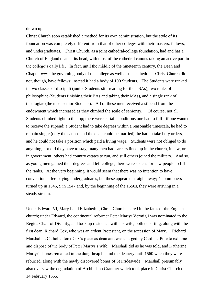drawn up.

Christ Church soon established a method for its own administration, but the style of its foundation was completely different from that of other colleges with their masters, fellows, and undergraduates. Christ Church, as a joint cathedral/college foundation, had and has a Church of England dean at its head, with most of the cathedral canons taking an active part in the college's daily life. In fact, until the middle of the nineteenth century, the Dean and Chapter *were* the governing body of the college as well as the cathedral. Christ Church did not, though, have fellows; instead it had a body of 100 Students. The Students were ranked in two classes of discipuli (junior Students still reading for their BAs), two ranks of philosophiae (Students finishing their BAs and taking their MAs), and a single rank of theologiae (the most senior Students). All of these men received a stipend from the endowment which increased as they climbed the scale of seniority. Of course, not all Students climbed right to the top; there were certain conditions one had to fulfil if one wanted to receive the stipend: a Student had to take degrees within a reasonable timescale, he had to remain single (only the canons and the dean could be married), he had to take holy orders, and he could not take a position which paid a living wage. Students were not obliged to do anything, nor did they have to stay; many men had careers lined up in the church, in law, or in government; others had country estates to run, and still others joined the military. And so, as young men gained their degrees and left college, there were spaces for new people to fill the ranks. At the very beginning, it would seem that there was no intention to have conventional, fee-paying undergraduates, but these appeared straight away; 4 commoners turned up in 1546, 9 in 1547 and, by the beginning of the 1550s, they were arriving in a steady stream.

Under Edward VI, Mary I and Elizabeth I, Christ Church shared in the fates of the English church; under Edward, the continental reformer Peter Martyr Vermigli was nominated to the Regius Chair of Divinity, and took up residence with his wife, both departing, along with the first dean, Richard Cox, who was an ardent Protestant, on the accession of Mary. Richard Marshall, a Catholic, took Cox's place as dean and was charged by Cardinal Pole to exhume and dispose of the body of Peter Martyr's wife. Marshall did as he was told, and Katherine Martyr's bones remained in the dung-heap behind the deanery until 1560 when they were reburied, along with the newly discovered bones of St Frideswide. Marshall presumably also oversaw the degradation of Archbishop Cranmer which took place in Christ Church on 14 February 1555.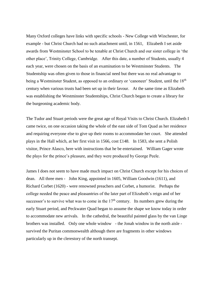Many Oxford colleges have links with specific schools - New College with Winchester, for example - but Christ Church had no such attachment until, in 1561, Elizabeth I set aside awards from Westminster School to be tenable at Christ Church and our sister college in 'the other place', Trinity College, Cambridge. After this date, a number of Students, usually 4 each year, were chosen on the basis of an examination to be Westminster Students. The Studentship was often given to those in financial need but there was no real advantage to being a Westminster Student, as opposed to an ordinary or 'canoneer' Student, until the 18<sup>th</sup> century when various trusts had been set up in their favour. At the same time as Elizabeth was establishing the Westminster Studentships, Christ Church began to create a library for the burgeoning academic body.

The Tudor and Stuart periods were the great age of Royal Visits to Christ Church. Elizabeth I came twice, on one occasion taking the whole of the east side of Tom Quad as her residence and requiring everyone else to give up their rooms to accommodate her court. She attended plays in the Hall which, at her first visit in 1566, cost £148. In 1583, she sent a Polish visitor, Prince Alasco, here with instructions that he be entertained. William Gager wrote the plays for the prince's pleasure, and they were produced by George Peele.

James I does not seem to have made much impact on Christ Church except for his choices of dean. All three men - John King, appointed in 1605, William Goodwin (1611), and Richard Corbet (1620) - were renowned preachers and Corbet, a humorist. Perhaps the college needed the peace and pleasantries of the later part of Elizabeth's reign and of her successor's to survive what was to come in the  $17<sup>th</sup>$  century. Its numbers grew during the early Stuart period, and Peckwater Quad began to assume the shape we know today in order to accommodate new arrivals. In the cathedral, the beautiful painted glass by the van Linge brothers was installed. Only one whole window - the Jonah window in the north aisle survived the Puritan commonwealth although there are fragments in other windows particularly up in the clerestory of the north transept.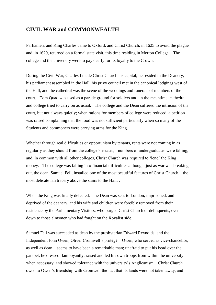## **CIVIL WAR and COMMONWEALTH**

Parliament and King Charles came to Oxford, and Christ Church, in 1625 to avoid the plague and, in 1629, returned on a formal state visit, this time residing in Merton College. The college and the university were to pay dearly for its loyalty to the Crown.

During the Civil War, Charles I made Christ Church his capital; he resided in the Deanery, his parliament assembled in the Hall, his privy council met in the canonical lodgings west of the Hall, and the cathedral was the scene of the weddings and funerals of members of the court. Tom Quad was used as a parade ground for soldiers and, in the meantime, cathedral and college tried to carry on as usual. The college and the Dean suffered the intrusion of the court, but not always quietly; when rations for members of college were reduced, a petition was raised complaining that the food was not sufficient particularly when so many of the Students and commoners were carrying arms for the King.

Whether through real difficulties or opportunism by tenants, rents were not coming in as regularly as they should from the college's estates; numbers of undergraduates were falling, and, in common with all other colleges, Christ Church was required to 'lend' the King money. The college was falling into financial difficulties although, just as war was breaking out, the dean, Samuel Fell, installed one of the most beautiful features of Christ Church,the most delicate fan tracery above the stairs to the Hall. .

When the King was finally defeated, the Dean was sent to London, imprisoned, and deprived of the deanery, and his wife and children were forcibly removed from their residence by the Parliamentary Visitors, who purged Christ Church of delinquents, even down to those almsmen who had fought on the Royalist side.

Samuel Fell was succeeded as dean by the presbyterian Edward Reynolds, and the Independent John Owen, Oliver Cromwell's protégé. Owen, who served as vice-chancellor, as well as dean, seems to have been a remarkable man; unafraid to put his head over the parapet, he dressed flamboyantly, raised and led his own troops from within the university when necessary, and showed tolerance with the university's Anglicanism. Christ Church owed to Owen's friendship with Cromwell the fact that its lands were not taken away, and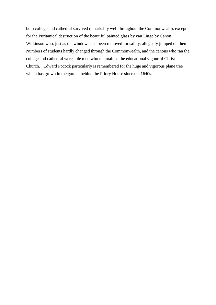both college and cathedral survived remarkably well throughout the Commonwealth, except for the Puritanical destruction of the beautiful painted glass by van Linge by Canon Wilkinson who, just as the windows had been removed for safety, allegedly jumped on them. Numbers of students hardly changed through the Commonwealth, and the canons who ran the college and cathedral were able men who maintained the educational vigour of Christ Church. Edward Pocock particularly is remembered for the huge and vigorous plane tree which has grown in the garden behind the Priory House since the 1640s.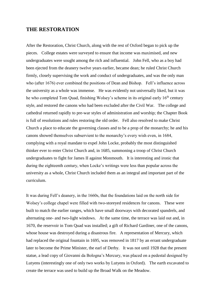#### **THE RESTORATION**

After the Restoration, Christ Church, along with the rest of Oxford began to pick up the pieces. College estates were surveyed to ensure that income was maximised, and new undergraduates were sought among the rich and influential. John Fell, who as a boy had been ejected from the deanery twelve years earlier, became dean; he ruled Christ Church firmly, closely supervising the work and conduct of undergraduates, and was the only man who (after 1676) ever combined the positions of Dean and Bishop. Fell's influence across the university as a whole was immense. He was evidently not universally liked, but it was he who completed Tom Quad, finishing Wolsey's scheme in its original early 16<sup>th</sup> century style, and restored the canons who had been excluded after the Civil War. The college and cathedral returned rapidly to pre-war styles of administration and worship; the Chapter Book is full of resolutions and rules restoring the old order. Fell also resolved to make Christ Church a place to educate the governing classes and to be a prop of the monarchy; he and his canons showed themselves subservient to the monarchy's every wish even, in 1684, complying with a royal mandate to expel John Locke, probably the most distinguished thinker ever to enter Christ Church and, in 1685, summoning a troop of Christ Church undergraduates to fight for James II against Monmouth. It is interesting and ironic that during the eighteenth century, when Locke's writings were less than popular across the university as a whole, Christ Church included them as an integral and important part of the curriculum.

It was during Fell's deanery, in the 1660s, that the foundations laid on the north side for Wolsey's college chapel were filled with two-storeyed residences for canons. These were built to match the earlier ranges, which have small doorways with decorated spandrels, and alternating one- and two-light windows.At the same time, the terrace was laid out and, in 1670, the reservoir in Tom Quad was installed; a gift of Richard Gardiner, one of the canons, whose house was destroyed during a disastrous fire. A representation of Mercury, which had replaced the original fountain in 1695, was removed in 1817 by an errant undergraduate later to become the Prime Minister, the earl of Derby. It was not until 1928 that the present statue, a lead copy of Giovanni da Bologna's Mercury, was placed on a pedestal designed by Lutyens (interestingly one of only two works by Lutyens in Oxford). The earth excavated to create the terrace was used to build up the Broad Walk on the Meadow.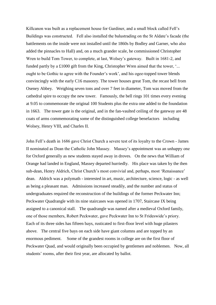Killcanon was built as a replacement house for Gardiner, and a small block called Fell's Buildings was constructed. Fell also installed the balustrading on the St Aldate's facade (the battlements on the inside were not installed until the 1860s by Bodley and Garner, who also added the pinnacles to Hall) and, on a much grander scale, he commissioned Christopher Wren to build Tom Tower, to complete, at last, Wolsey's gateway. Built in 1681-2, and funded partly by a £1000 gift from the King, Christopher Wren aimed that the tower, '... ought to be Gothic to agree with the Founder's work', and his ogee-topped tower blends convincingly with the early C16 masonry. The tower houses great Tom, the recast bell from Oseney Abbey. Weighing seven tons and over 7 feet in diameter, Tom was moved from the cathedral spire to occupy the new tower. Famously, the bell rings 101 times every evening at 9.05 to commemorate the original 100 Students plus the extra one added to the foundation in 1663. The tower gate is the original, and in the fan-vaulted ceiling of the gateway are 48 coats of arms commemorating some of the distinguished college benefactors including Wolsey, Henry VIII, and Charles II.

John Fell's death in 1686 gave Christ Church a severe test of its loyalty to the Crown - James II nominated as Dean the Catholic John Massey. Massey's appointment was an unhappy one for Oxford generally as new students stayed away in droves. On the news that William of Orange had landed in England, Massey departed hurriedly. His place was taken by the then sub-dean, Henry Aldrich, Christ Church's most convivial and, perhaps, most 'Renaissance' dean. Aldrich was a polymath - interested in art, music, architecture, science, logic - as well as being a pleasant man. Admissions increased steadily, and the number and status of undergraduates required the reconstruction of the buildings of the former Peckwater Inn; Peckwater Quadrangle with its nine staircases was opened in 1707, Staircase IX being assigned to a canonical stall. The quadrangle was named after a medieval Oxford family, one of those members, Robert Peckwater, gave Peckwater Inn to St Frideswide's priory. Each of its three sides has fifteen bays, rusticated to first-floor level with huge pilasters above. The central five bays on each side have giant columns and are topped by an enormous pediment. Some of the grandest rooms in college are on the first floor of Peckwater Quad, and would originally been occupied by gentlemen and noblemen. Now, all students' rooms, after their first year, are allocated by ballot.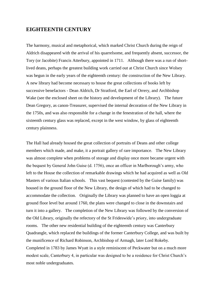### **EIGHTEENTH CENTURY**

The harmony, musical and metaphorical, which marked Christ Church during the reign of Aldrich disappeared with the arrival of his quarrelsome, and frequently absent, successor, the Tory (or Jacobite) Francis Atterbury, appointed in 1711. Although there was a run of shortlived deans, perhaps the greatest building work carried out at Christ Church since Wolsey was begun in the early years of the eighteenth century: the construction of the New Library. A new library had become necessary to house the great collections of books left by successive benefactors - Dean Aldrich, Dr Stratford, the Earl of Orrery, and Archbishop Wake (see the enclosed sheet on the history and development of the Library). The future Dean Gregory, as canon-Treasurer, supervised the internal decoration of the New Library in the 1750s, and was also responsible for a change in the fenestration of the hall, where the sixteenth century glass was replaced, except in the west window, by glass of eighteenth century plainness.

The Hall had already housed the great collection of portraits of Deans and other college members which made, and make, it a portrait gallery of rare importance. The New Library was almost complete when problems of storage and display once more became urgent with the bequest by General John Guise (d. 1756), once an officer in Marlborough's army, who left to the House the collection of remarkable drawings which he had acquired as well as Old Masters of various Italian schools. This vast bequest (contested by the Guise family) was housed in the ground floor of the New Library, the design of which had to be changed to accommodate the collection. Originally the Library was planned to have an open loggia at ground floor level but around 1760, the plans were changed to close in the downstairs and turn it into a gallery. The completion of the New Library was followed by the conversion of the Old Library, originally the refectory of the St Frideswide's priory, into undergraduate rooms. The other new residential building of the eighteenth century was Canterbury Quadrangle, which replaced the buildings of the former Canterbury College, and was built by the munificence of Richard Robinson, Archbishop of Armagh, later Lord Rokeby. Completed in 1783 by James Wyatt in a style reminiscent of Peckwater but on a much more modest scale, Canterbury 4, in particular was designed to be a residence for Christ Church's most noble undergraduates.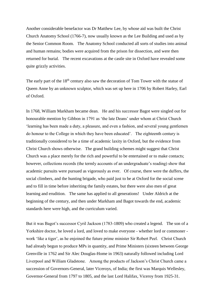Another considerable benefactor was Dr Matthew Lee, by whose aid was built the Christ Church Anatomy School (1766-7), now usually known as the Lee Building and used as by the Senior Common Room. The Anatomy School conducted all sorts of studies into animal and human remains; bodies were acquired from the prison for dissection, and were then returned for burial. The recent excavations at the castle site in Oxford have revealed some quite grizzly activities.

The early part of the 18<sup>th</sup> century also saw the decoration of Tom Tower with the statue of Queen Anne by an unknown sculptor, which was set up here in 1706 by Robert Harley, Earl of Oxford.

In 1768, William Markham became dean. He and his successor Bagot were singled out for honourable mention by Gibbon in 1791 as 'the late Deans' under whom at Christ Church 'learning has been made a duty, a pleasure, and even a fashion, and several young gentlemen do honour to the College in which they have been educated'. The eighteenth century is traditionally considered to be a time of academic laxity in Oxford, but the evidence from Christ Church shows otherwise. The grand building schemes might suggest that Christ Church was a place merely for the rich and powerful to be entertained or to make contacts; however, collections records (the termly accounts of an undergraduate's reading) show that academic pursuits were pursued as vigorously as ever. Of course, there were the duffers, the social climbers, and the hunting brigade, who paid just to be at Oxford for the social scene and to fill in time before inheriting the family estates, but there were also men of great learning and erudition. The same has applied to all generations! Under Aldrich at the beginning of the century, and then under Markham and Bagot towards the end, academic standards here were high, and the curriculum varied.

But it was Bagot's successor Cyril Jackson (1783-1809) who created a legend. The son of a Yorkshire doctor, he loved a lord, and loved to make everyone - whether lord or commoner work 'like a tiger', as he enjoined the future prime minister Sir Robert Peel. Christ Church had already begun to produce MPs in quantity, and Prime Ministers (sixteen between George Grenville in 1762 and Sir Alec Douglas-Home in 1963) naturally followed including Lord Liverpool and William Gladstone. Among the products of Jackson's Christ Church came a succession of Governors-General, later Viceroys, of India; the first was Marquis Wellesley, Governor-General from 1797 to 1805, and the last Lord Halifax, Viceroy from 1925-31.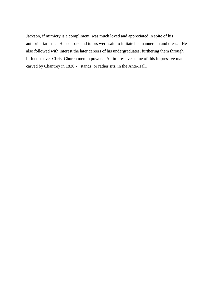Jackson, if mimicry is a compliment, was much loved and appreciated in spite of his authoritarianism; His censors and tutors were said to imitate his mannerism and dress. He also followed with interest the later careers of his undergraduates, furthering them through influence over Christ Church men in power. An impressive statue of this impressive man carved by Chantrey in 1820 - stands, or rather sits, in the Ante-Hall.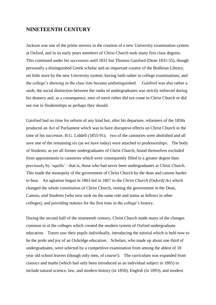#### **NINETEENTH CENTURY**

Jackson was one of the prime movers in the creation of a new University examination system at Oxford, and in its early years members of Christ Church took many first class degrees. This continued under his successors until 1831 but Thomas Gaisford (Dean 1831-55), though personally a distinguished Greek scholar and an important curator of the Bodleian Library, set little store by the new University system, having faith rather in college examinations, and the college's showing in the class lists became undistinguished. Gaisford was also rather a snob; the social distinction between the ranks of undergraduates was strictly enforced during his deanery and, as a consequence, men of merit either did not come to Christ Church or did not rise to Studentships as perhaps they should.

Gaisford had no time for reform of any kind but, after his departure, reformers of the 1850s produced an Act of Parliament which was to have disruptive effects on Christ Church in the time of his successor, H.G. Liddell (1855-91); two of the canonries were abolished and all save one of the remaining six (as we have today) were attached to professorships. The body of Students, as yet all former undergraduates of Christ Church, found themselves excluded from appointments to canonries which were consequently filled to a greater degree than previously by 'squills' - that is, those who had never been undergraduates at Christ Church. This made the monopoly of the government of Christ Church by the dean and canons harder to bear. An agitation begun in 1863 led in 1867 to the *Christ Church (Oxford) Act* which changed the whole constitution of Christ Church, vesting the government in the Dean, Canons, *and* Students (who now took on the same role and status as fellows in other colleges), and providing statutes for the first time in the college's history.

During the second half of the nineteenth century, Christ Church made many of the changes common to al the colleges which created the modern system of Oxford undergraduate education. Tutors saw their pupils individually, introducing the tutorial which is held now to be the pride and joy of an Oxbridge education. Scholars, who made up about one third of undergraduates, were selected by a competitive examination from among the ablest of 18 year old school leavers (though only men, of course!). The curriculum was expanded from classics and maths (which had only been introduced as an individual subject in 1805) to include natural science, law, and modern history (in 1850), English (in 1893), and modern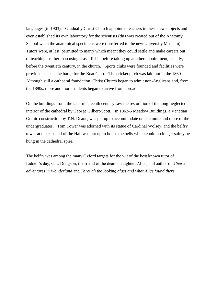languages (in 1903). Gradually Christ Church appointed teachers in these new subjects and even established its own laboratory for the scientists (this was created out of the Anatomy School when the anatomical specimens were transferred to the new University Museum). Tutors were, at last, permitted to marry which meant they could settle and make careers out of teaching - rather than using it as a fill-in before taking up another appointment, usually, before the twentieth century, in the church. Sports clubs were founded and facilities were provided such as the barge for the Boat Club. The cricket pitch was laid out in the 1860s. Although still a cathedral foundation, Christ Church began to admit non-Anglicans and, from the 1890s, more and more students began to arrive from abroad.

On the buildings front, the later nineteenth century saw the restoration of the long-neglected interior of the cathedral by George Gilbert-Scott. In 1862-5 Meadow Buildings, a Venetian Gothic construction by T.N. Deane, was put up to accommodate on site more and more of the undergraduates. Tom Tower was adorned with its statue of Cardinal Wolsey, and the belfry tower at the east end of the Hall was put up to house the bells which could no longer safely be hung in the cathedral spire.

The belfry was among the many Oxford targets for the wit of the best known tutor of Liddell's day, C.L. Dodgson, the friend of the dean's daughter, Alice, and author of *Alice's adventures in Wonderland* and *Through the looking glass and what Alice found there*.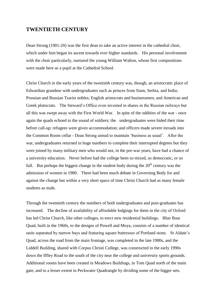### **TWENTIETH CENTURY**

Dean Strong (1901-20) was the first dean to take an active interest in the cathedral choir, which under him began its ascent towards ever higher standards. His personal involvement with the choir particularly, nurtured the young William Walton, whose first compositions were made here as a pupil at the Cathedral School.

Christ Church in the early years of the twentieth century was, though, an aristocratic place of Edwardian grandeur with undergraduates such as princes from Siam, Serbia, and India; Prussian and Russian Tsarist nobles; English aristocrats and businessmen; and American and Greek plutocrats. The Steward's Office even invested in shares in the Russian railways but all this was swept away with the First World War. In spite of the oddities of the war - once again the quads echoed to the sound of soldiers; the undergraduates were bided their time before call-up; refugees were given accommodation; and officers made severe inroads into the Common Room cellar - Dean Strong aimed to maintain 'business as usual'. After the war, undergraduates returned in huge numbers to complete their interrupted degrees but they were joined by many military men who would not, in the pre-war years, have had a chance of a university education. Never before had the college been so mixed, so democratic, or so full. But perhaps the biggest change in the student body during the  $20<sup>th</sup>$  century was the admission of women in 1980. There had been much debate in Governing Body for and against the change but within a very short space of time Christ Church had as many female students as male.

Through the twentieth century the numbers of both undergraduates and post-graduates has increased. The decline of availability of affordable lodgings for them in the city of Oxford has led Christ Church, like other colleges, to erect new residential buildings. Blue Boar Quad, built in the 1960s, to the designs of Powell and Moya, consists of a number of identical units separated by narrow bays and featuring square buttresses of Portland stone. St Aldate's Quad, across the road from the main frontage, was completed in the late 1980s, and the Liddell Building, shared with Corpus Christi College, was constructed in the early 1990s down the Iffley Road to the south of the city near the college and university sports grounds. Additional rooms have been created in Meadows Buildings, in Tom Quad north of the main gate, and to a lesser extent in Peckwater Quadrangle by dividing some of the bigger sets.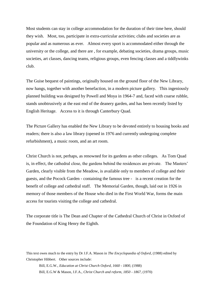Most students can stay in college accommodation for the duration of their time here, should they wish. Most, too, participate in extra-curricular activities; clubs and societies are as popular and as numerous as ever. Almost every sport is accommodated either through the university or the college, and there are , for example, debating societies, drama groups, music societies, art classes, dancing teams, religious groups, even fencing classes and a tiddlywinks club.

The Guise bequest of paintings, originally housed on the ground floor of the New Library, now hangs, together with another benefaction, in a modern picture gallery. This ingeniously planned building was designed by Powell and Moya in 1964-7 and, faced with coarse rubble, stands unobtrusively at the east end of the deanery garden, and has been recently listed by English Heritage. Access to it is through Canterbury Quad.

The Picture Gallery has enabled the New Library to be devoted entirely to housing books and readers; there is also a law library (opened in 1976 and currently undergoing complete refurbishment), a music room, and an art room.

Christ Church is not, perhaps, as renowned for its gardens as other colleges. As Tom Quad is, in effect, the cathedral close, the gardens behind the residences are private. The Masters' Garden, clearly visible from the Meadow, is available only to members of college and their guests, and the Pocock Garden - containing the famous tree - is a recent creation for the benefit of college and cathedral staff. The Memorial Garden, though, laid out in 1926 in memory of those members of the House who died in the First World War, forms the main access for tourists visiting the college and cathedral.

The corporate title is The Dean and Chapter of the Cathedral Church of Christ in Oxford of the Foundation of King Henry the Eighth.

This text owes much to the entry by Dr J.F.A. Mason in *The Encyclopaedia of Oxford*, (1988) edited by Christopher Hibbert. Other sources include:

Bill, E.G.W., *Education at Christ Church Oxford, 1660 - 1800*, (1988) Bill, E.G.W & Mason, J.F.A., *Christ Church and reform, 1850 - 1867*, (1970)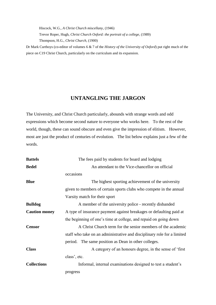Hiscock, W.G., *A Christ Church miscellany*, (1946) Trevor Roper, Hugh, *Christ Church Oxford: the portrait of a college*, (1989) Thompson, H.G., *Christ Church,* (1900)

Dr Mark Curthoys (co-editor of volumes 6 & 7 of the *History of the University of Oxford*) put right much of the piece on C19 Christ Church, particularly on the curriculum and its expansion.

# **UNTANGLING THE JARGON**

The University, and Christ Church particularly, abounds with strange words and odd expressions which become second nature to everyone who works here. To the rest of the world, though, these can sound obscure and even give the impression of elitism. However, most are just the product of centuries of evolution. The list below explains just a few of the words.

| <b>Battels</b>       | The fees paid by students for board and lodging                         |  |  |
|----------------------|-------------------------------------------------------------------------|--|--|
| <b>Bedel</b>         | An attendant to the Vice-chancellor on official                         |  |  |
|                      | occasions                                                               |  |  |
| <b>Blue</b>          | The highest sporting achievement of the university                      |  |  |
|                      | given to members of certain sports clubs who compete in the annual      |  |  |
|                      | Varsity match for their sport                                           |  |  |
| <b>Bulldog</b>       | A member of the university police - recently disbanded                  |  |  |
| <b>Caution money</b> | A type of insurance payment against breakages or defaulting paid at     |  |  |
|                      | the beginning of one's time at college, and repaid on going down        |  |  |
| <b>Censor</b>        | A Christ Church term for the senior members of the academic             |  |  |
|                      | staff who take on an administrative and disciplinary role for a limited |  |  |
|                      | period. The same position as Dean in other colleges.                    |  |  |
| <b>Class</b>         | A category of an honours degree, in the sense of 'first                 |  |  |
|                      | class', etc.                                                            |  |  |
| <b>Collections</b>   | Informal, internal examinations designed to test a student's            |  |  |
|                      | progress                                                                |  |  |
|                      |                                                                         |  |  |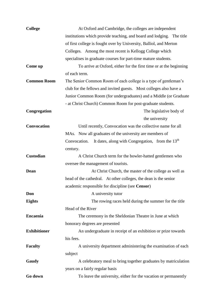| <b>College</b>      | At Oxford and Cambridge, the colleges are independent                                                                                   |  |  |  |  |
|---------------------|-----------------------------------------------------------------------------------------------------------------------------------------|--|--|--|--|
|                     | institutions which provide teaching, and board and lodging. The title                                                                   |  |  |  |  |
|                     | of first college is fought over by University, Balliol, and Merton                                                                      |  |  |  |  |
|                     | Colleges. Among the most recent is Kellogg College which                                                                                |  |  |  |  |
|                     | specialises in graduate courses for part-time mature students.                                                                          |  |  |  |  |
| Come up             | To arrive at Oxford, either for the first time or at the beginning                                                                      |  |  |  |  |
|                     | of each term.                                                                                                                           |  |  |  |  |
| <b>Common Room</b>  | The Senior Common Room of each college is a type of gentleman's                                                                         |  |  |  |  |
|                     | club for the fellows and invited guests. Most colleges also have a<br>Junior Common Room (for undergraduates) and a Middle (or Graduate |  |  |  |  |
|                     |                                                                                                                                         |  |  |  |  |
|                     | - at Christ Church) Common Room for post-graduate students.                                                                             |  |  |  |  |
| Congregation        | The legislative body of                                                                                                                 |  |  |  |  |
|                     | the university                                                                                                                          |  |  |  |  |
| <b>Convocation</b>  | Until recently, Convocation was the collective name for all                                                                             |  |  |  |  |
|                     | MAs. Now all graduates of the university are members of                                                                                 |  |  |  |  |
|                     | It dates, along with Congregation, from the $13th$<br>Convocation.                                                                      |  |  |  |  |
|                     | century.                                                                                                                                |  |  |  |  |
| Custodian           | A Christ Church term for the bowler-hatted gentlemen who                                                                                |  |  |  |  |
|                     | oversee the management of tourists.                                                                                                     |  |  |  |  |
| Dean                | At Christ Church, the master of the college as well as                                                                                  |  |  |  |  |
|                     | head of the cathedral. At other colleges, the dean is the senior                                                                        |  |  |  |  |
|                     | academic responsible for discipline (see Censor)                                                                                        |  |  |  |  |
| Don                 | A university tutor                                                                                                                      |  |  |  |  |
| <b>Eights</b>       | The rowing races held during the summer for the title                                                                                   |  |  |  |  |
|                     | Head of the River                                                                                                                       |  |  |  |  |
| <b>Encaenia</b>     | The ceremony in the Sheldonian Theatre in June at which                                                                                 |  |  |  |  |
|                     | honorary degrees are presented                                                                                                          |  |  |  |  |
| <b>Exhibitioner</b> | An undergraduate in receipt of an exhibition or prize towards                                                                           |  |  |  |  |
|                     | his fees.                                                                                                                               |  |  |  |  |
| <b>Faculty</b>      | A university department administering the examination of each                                                                           |  |  |  |  |
|                     | subject                                                                                                                                 |  |  |  |  |
| Gaudy               | A celebratory meal to bring together graduates by matriculation                                                                         |  |  |  |  |
|                     | years on a fairly regular basis                                                                                                         |  |  |  |  |
| Go down             | To leave the university, either for the vacation or permanently                                                                         |  |  |  |  |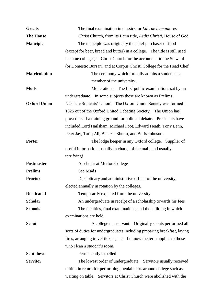| <b>Greats</b>        | The final examination in classics, or Literae humaniores                                                                   |  |  |  |  |  |
|----------------------|----------------------------------------------------------------------------------------------------------------------------|--|--|--|--|--|
| <b>The House</b>     | Christ Church, from its Latin title, <i>Aedis Christi</i> , House of God                                                   |  |  |  |  |  |
| <b>Manciple</b>      | The manciple was originally the chief purchaser of food                                                                    |  |  |  |  |  |
|                      | (except for beer, bread and butter) in a college. The title is still used                                                  |  |  |  |  |  |
|                      | in some colleges; at Christ Church for the accountant to the Steward                                                       |  |  |  |  |  |
|                      | (or Domestic Bursar), and at Corpus Christi College for the Head Chef.                                                     |  |  |  |  |  |
| <b>Matriculation</b> | The ceremony which formally admits a student as a                                                                          |  |  |  |  |  |
|                      | member of the university.                                                                                                  |  |  |  |  |  |
| <b>Mods</b>          | Moderations. The first public examinations sat by un                                                                       |  |  |  |  |  |
|                      | undergraduate. In some subjects these are known as Prelims.                                                                |  |  |  |  |  |
| <b>Oxford Union</b>  | NOT the Students' Union! The Oxford Union Society was formed in                                                            |  |  |  |  |  |
|                      | 1825 out of the Oxford United Debating Society. The Union has                                                              |  |  |  |  |  |
|                      | proved itself a training ground for political debate. Presidents have                                                      |  |  |  |  |  |
|                      | included Lord Hailsham, Michael Foot, Edward Heath, Tony Benn,<br>Peter Jay, Tariq Ali, Benazir Bhutto, and Boris Johnson. |  |  |  |  |  |
|                      |                                                                                                                            |  |  |  |  |  |
| Porter               | The lodge keeper in any Oxford college. Supplier of                                                                        |  |  |  |  |  |
|                      | useful information, usually in charge of the mail, and usually                                                             |  |  |  |  |  |
|                      | terrifying!                                                                                                                |  |  |  |  |  |
| <b>Postmaster</b>    | A scholar at Merton College                                                                                                |  |  |  |  |  |
| <b>Prelims</b>       | See Mods                                                                                                                   |  |  |  |  |  |
| <b>Proctor</b>       | Disciplinary and administrative officer of the university,                                                                 |  |  |  |  |  |
|                      | elected annually in rotation by the colleges.                                                                              |  |  |  |  |  |
| <b>Rusticated</b>    | Temporarily expelled from the university                                                                                   |  |  |  |  |  |
| <b>Scholar</b>       | An undergraduate in receipt of a scholarship towards his fees                                                              |  |  |  |  |  |
| <b>Schools</b>       | The faculties, final examinations, and the building in which                                                               |  |  |  |  |  |
|                      | examinations are held.                                                                                                     |  |  |  |  |  |
| <b>Scout</b>         | A college manservant. Originally scouts performed all                                                                      |  |  |  |  |  |
|                      | sorts of duties for undergraduates including preparing breakfast, laying                                                   |  |  |  |  |  |
|                      | fires, arranging travel tickets, etc. but now the term applies to those                                                    |  |  |  |  |  |
|                      | who clean a student's room.                                                                                                |  |  |  |  |  |
| Sent down            | Permanently expelled                                                                                                       |  |  |  |  |  |
| <b>Servitor</b>      | The lowest order of undergraduate. Servitors usually received                                                              |  |  |  |  |  |
|                      | tuition in return for performing menial tasks around college such as                                                       |  |  |  |  |  |
|                      | waiting on table. Servitors at Christ Church were abolished with the                                                       |  |  |  |  |  |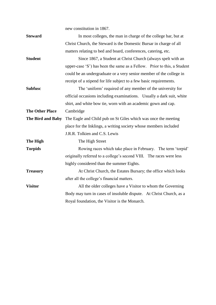|                        | new constitution in 1867.                                                                         |  |  |  |  |
|------------------------|---------------------------------------------------------------------------------------------------|--|--|--|--|
| <b>Steward</b>         | In most colleges, the man in charge of the college bar, but at                                    |  |  |  |  |
|                        | Christ Church, the Steward is the Domestic Bursar in charge of all                                |  |  |  |  |
|                        | matters relating to bed and board, conferences, catering, etc.                                    |  |  |  |  |
| <b>Student</b>         | Since 1867, a Student at Christ Church (always spelt with an                                      |  |  |  |  |
|                        | upper-case 'S') has been the same as a Fellow. Prior to this, a Student                           |  |  |  |  |
|                        | could be an undergraduate or a very senior member of the college in                               |  |  |  |  |
|                        | receipt of a stipend for life subject to a few basic requirements.                                |  |  |  |  |
| <b>Subfusc</b>         | The 'uniform' required of any member of the university for                                        |  |  |  |  |
|                        | official occasions including examinations. Usually a dark suit, white                             |  |  |  |  |
|                        | shirt, and white bow tie, worn with an academic gown and cap.                                     |  |  |  |  |
| <b>The Other Place</b> | Cambridge                                                                                         |  |  |  |  |
| The Bird and Baby      | The Eagle and Child pub on St Giles which was once the meeting                                    |  |  |  |  |
|                        | place for the Inklings, a writing society whose members included<br>J.R.R. Tolkien and C.S. Lewis |  |  |  |  |
|                        |                                                                                                   |  |  |  |  |
| The High               | The High Street                                                                                   |  |  |  |  |
| <b>Torpids</b>         | Rowing races which take place in February. The term 'torpid'                                      |  |  |  |  |
|                        | originally referred to a college's second VIII. The races were less                               |  |  |  |  |
|                        | highly considered than the summer Eights.                                                         |  |  |  |  |
| <b>Treasury</b>        | At Christ Church, the Estates Bursary; the office which looks                                     |  |  |  |  |
|                        | after all the college's financial matters.                                                        |  |  |  |  |
| <b>Visitor</b>         | All the older colleges have a Visitor to whom the Governing                                       |  |  |  |  |
|                        | Body may turn in cases of insoluble dispute. At Christ Church, as a                               |  |  |  |  |
|                        | Royal foundation, the Visitor is the Monarch.                                                     |  |  |  |  |